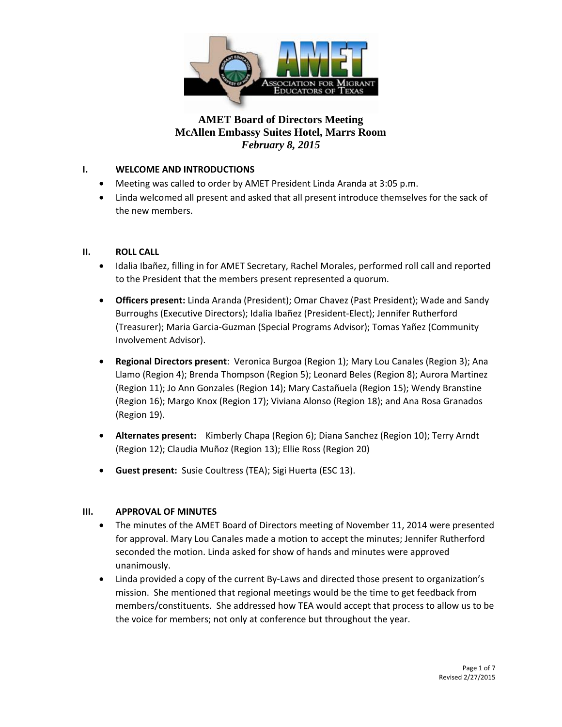

### **I. WELCOME AND INTRODUCTIONS**

- Meeting was called to order by AMET President Linda Aranda at 3:05 p.m.
- Linda welcomed all present and asked that all present introduce themselves for the sack of the new members.

#### **II. ROLL CALL**

- Idalia Ibañez, filling in for AMET Secretary, Rachel Morales, performed roll call and reported to the President that the members present represented a quorum.
- **Officers present:** Linda Aranda (President); Omar Chavez (Past President); Wade and Sandy Burroughs (Executive Directors); Idalia Ibañez (President-Elect); Jennifer Rutherford (Treasurer); Maria Garcia-Guzman (Special Programs Advisor); Tomas Yañez (Community Involvement Advisor).
- **Regional Directors present**: Veronica Burgoa (Region 1); Mary Lou Canales (Region 3); Ana Llamo (Region 4); Brenda Thompson (Region 5); Leonard Beles (Region 8); Aurora Martinez (Region 11); Jo Ann Gonzales (Region 14); Mary Castañuela (Region 15); Wendy Branstine (Region 16); Margo Knox (Region 17); Viviana Alonso (Region 18); and Ana Rosa Granados (Region 19).
- **Alternates present:** Kimberly Chapa (Region 6); Diana Sanchez (Region 10); Terry Arndt (Region 12); Claudia Muñoz (Region 13); Ellie Ross (Region 20)
- **Guest present:** Susie Coultress (TEA); Sigi Huerta (ESC 13).

#### **III. APPROVAL OF MINUTES**

- The minutes of the AMET Board of Directors meeting of November 11, 2014 were presented for approval. Mary Lou Canales made a motion to accept the minutes; Jennifer Rutherford seconded the motion. Linda asked for show of hands and minutes were approved unanimously.
- Linda provided a copy of the current By-Laws and directed those present to organization's mission. She mentioned that regional meetings would be the time to get feedback from members/constituents. She addressed how TEA would accept that process to allow us to be the voice for members; not only at conference but throughout the year.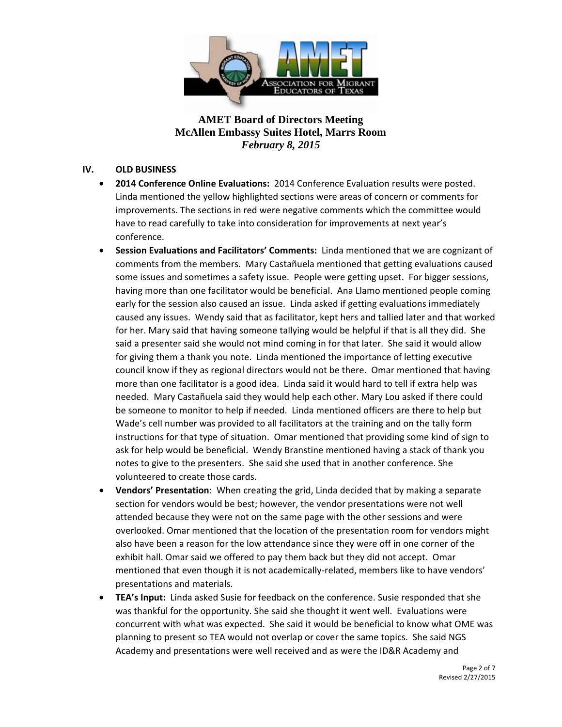

#### **IV. OLD BUSINESS**

- **2014 Conference Online Evaluations:** 2014 Conference Evaluation results were posted. Linda mentioned the yellow highlighted sections were areas of concern or comments for improvements. The sections in red were negative comments which the committee would have to read carefully to take into consideration for improvements at next year's conference.
- **Session Evaluations and Facilitators' Comments:** Linda mentioned that we are cognizant of comments from the members. Mary Castañuela mentioned that getting evaluations caused some issues and sometimes a safety issue. People were getting upset. For bigger sessions, having more than one facilitator would be beneficial. Ana Llamo mentioned people coming early for the session also caused an issue. Linda asked if getting evaluations immediately caused any issues. Wendy said that as facilitator, kept hers and tallied later and that worked for her. Mary said that having someone tallying would be helpful if that is all they did. She said a presenter said she would not mind coming in for that later. She said it would allow for giving them a thank you note. Linda mentioned the importance of letting executive council know if they as regional directors would not be there. Omar mentioned that having more than one facilitator is a good idea. Linda said it would hard to tell if extra help was needed. Mary Castañuela said they would help each other. Mary Lou asked if there could be someone to monitor to help if needed. Linda mentioned officers are there to help but Wade's cell number was provided to all facilitators at the training and on the tally form instructions for that type of situation. Omar mentioned that providing some kind of sign to ask for help would be beneficial. Wendy Branstine mentioned having a stack of thank you notes to give to the presenters. She said she used that in another conference. She volunteered to create those cards.
- **Vendors' Presentation**: When creating the grid, Linda decided that by making a separate section for vendors would be best; however, the vendor presentations were not well attended because they were not on the same page with the other sessions and were overlooked. Omar mentioned that the location of the presentation room for vendors might also have been a reason for the low attendance since they were off in one corner of the exhibit hall. Omar said we offered to pay them back but they did not accept. Omar mentioned that even though it is not academically-related, members like to have vendors' presentations and materials.
- **TEA's Input:** Linda asked Susie for feedback on the conference. Susie responded that she was thankful for the opportunity. She said she thought it went well. Evaluations were concurrent with what was expected. She said it would be beneficial to know what OME was planning to present so TEA would not overlap or cover the same topics. She said NGS Academy and presentations were well received and as were the ID&R Academy and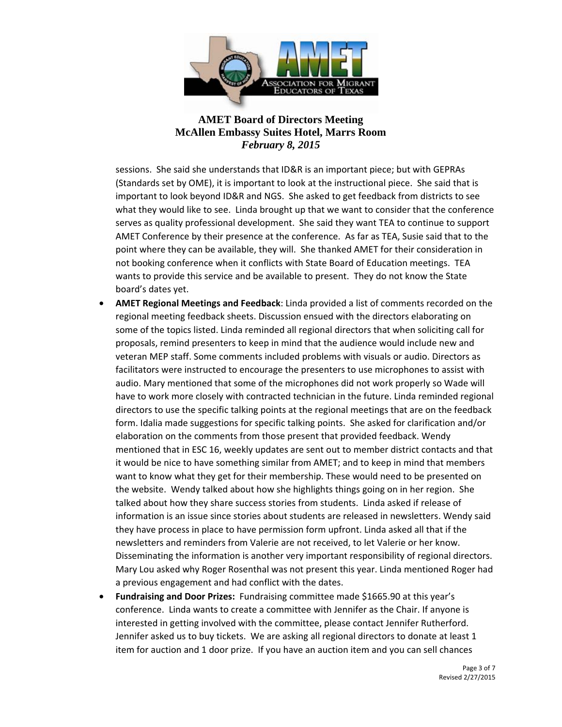

sessions. She said she understands that ID&R is an important piece; but with GEPRAs (Standards set by OME), it is important to look at the instructional piece. She said that is important to look beyond ID&R and NGS. She asked to get feedback from districts to see what they would like to see. Linda brought up that we want to consider that the conference serves as quality professional development. She said they want TEA to continue to support AMET Conference by their presence at the conference. As far as TEA, Susie said that to the point where they can be available, they will. She thanked AMET for their consideration in not booking conference when it conflicts with State Board of Education meetings. TEA wants to provide this service and be available to present. They do not know the State board's dates yet.

- **AMET Regional Meetings and Feedback**: Linda provided a list of comments recorded on the regional meeting feedback sheets. Discussion ensued with the directors elaborating on some of the topics listed. Linda reminded all regional directors that when soliciting call for proposals, remind presenters to keep in mind that the audience would include new and veteran MEP staff. Some comments included problems with visuals or audio. Directors as facilitators were instructed to encourage the presenters to use microphones to assist with audio. Mary mentioned that some of the microphones did not work properly so Wade will have to work more closely with contracted technician in the future. Linda reminded regional directors to use the specific talking points at the regional meetings that are on the feedback form. Idalia made suggestions for specific talking points. She asked for clarification and/or elaboration on the comments from those present that provided feedback. Wendy mentioned that in ESC 16, weekly updates are sent out to member district contacts and that it would be nice to have something similar from AMET; and to keep in mind that members want to know what they get for their membership. These would need to be presented on the website. Wendy talked about how she highlights things going on in her region. She talked about how they share success stories from students. Linda asked if release of information is an issue since stories about students are released in newsletters. Wendy said they have process in place to have permission form upfront. Linda asked all that if the newsletters and reminders from Valerie are not received, to let Valerie or her know. Disseminating the information is another very important responsibility of regional directors. Mary Lou asked why Roger Rosenthal was not present this year. Linda mentioned Roger had a previous engagement and had conflict with the dates.
- **Fundraising and Door Prizes:** Fundraising committee made \$1665.90 at this year's conference. Linda wants to create a committee with Jennifer as the Chair. If anyone is interested in getting involved with the committee, please contact Jennifer Rutherford. Jennifer asked us to buy tickets. We are asking all regional directors to donate at least 1 item for auction and 1 door prize. If you have an auction item and you can sell chances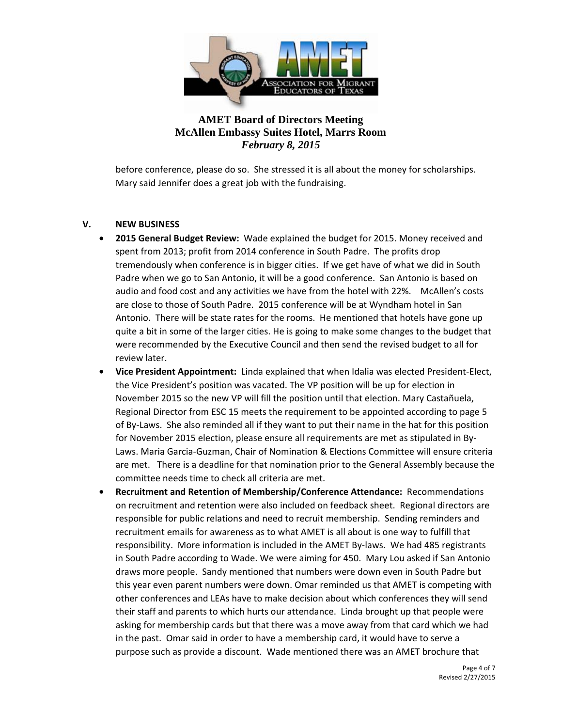

before conference, please do so. She stressed it is all about the money for scholarships. Mary said Jennifer does a great job with the fundraising.

#### **V. NEW BUSINESS**

- **2015 General Budget Review:** Wade explained the budget for 2015. Money received and spent from 2013; profit from 2014 conference in South Padre. The profits drop tremendously when conference is in bigger cities. If we get have of what we did in South Padre when we go to San Antonio, it will be a good conference. San Antonio is based on audio and food cost and any activities we have from the hotel with 22%. McAllen's costs are close to those of South Padre. 2015 conference will be at Wyndham hotel in San Antonio. There will be state rates for the rooms. He mentioned that hotels have gone up quite a bit in some of the larger cities. He is going to make some changes to the budget that were recommended by the Executive Council and then send the revised budget to all for review later.
- **Vice President Appointment:** Linda explained that when Idalia was elected President-Elect, the Vice President's position was vacated. The VP position will be up for election in November 2015 so the new VP will fill the position until that election. Mary Castañuela, Regional Director from ESC 15 meets the requirement to be appointed according to page 5 of By-Laws. She also reminded all if they want to put their name in the hat for this position for November 2015 election, please ensure all requirements are met as stipulated in By-Laws. Maria Garcia-Guzman, Chair of Nomination & Elections Committee will ensure criteria are met. There is a deadline for that nomination prior to the General Assembly because the committee needs time to check all criteria are met.
- **Recruitment and Retention of Membership/Conference Attendance:** Recommendations on recruitment and retention were also included on feedback sheet. Regional directors are responsible for public relations and need to recruit membership. Sending reminders and recruitment emails for awareness as to what AMET is all about is one way to fulfill that responsibility. More information is included in the AMET By-laws. We had 485 registrants in South Padre according to Wade. We were aiming for 450. Mary Lou asked if San Antonio draws more people. Sandy mentioned that numbers were down even in South Padre but this year even parent numbers were down. Omar reminded us that AMET is competing with other conferences and LEAs have to make decision about which conferences they will send their staff and parents to which hurts our attendance. Linda brought up that people were asking for membership cards but that there was a move away from that card which we had in the past. Omar said in order to have a membership card, it would have to serve a purpose such as provide a discount. Wade mentioned there was an AMET brochure that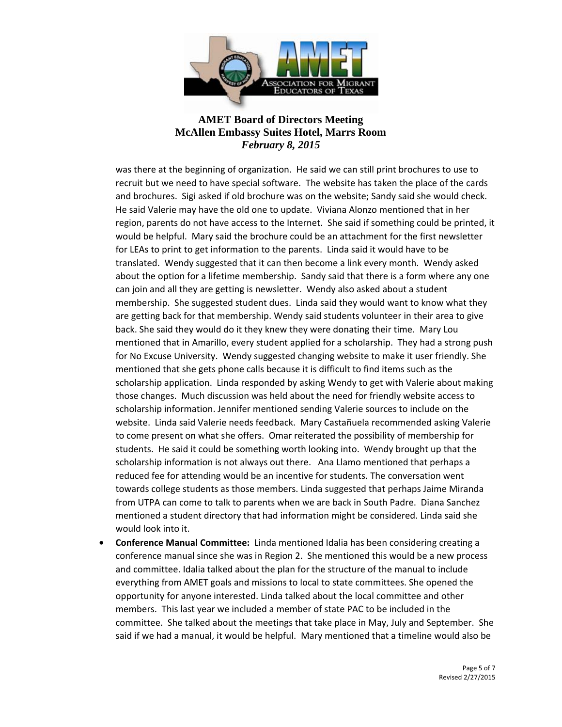

was there at the beginning of organization. He said we can still print brochures to use to recruit but we need to have special software. The website has taken the place of the cards and brochures. Sigi asked if old brochure was on the website; Sandy said she would check. He said Valerie may have the old one to update. Viviana Alonzo mentioned that in her region, parents do not have access to the Internet. She said if something could be printed, it would be helpful. Mary said the brochure could be an attachment for the first newsletter for LEAs to print to get information to the parents. Linda said it would have to be translated. Wendy suggested that it can then become a link every month. Wendy asked about the option for a lifetime membership. Sandy said that there is a form where any one can join and all they are getting is newsletter. Wendy also asked about a student membership. She suggested student dues. Linda said they would want to know what they are getting back for that membership. Wendy said students volunteer in their area to give back. She said they would do it they knew they were donating their time. Mary Lou mentioned that in Amarillo, every student applied for a scholarship. They had a strong push for No Excuse University. Wendy suggested changing website to make it user friendly. She mentioned that she gets phone calls because it is difficult to find items such as the scholarship application. Linda responded by asking Wendy to get with Valerie about making those changes. Much discussion was held about the need for friendly website access to scholarship information. Jennifer mentioned sending Valerie sources to include on the website. Linda said Valerie needs feedback. Mary Castañuela recommended asking Valerie to come present on what she offers. Omar reiterated the possibility of membership for students. He said it could be something worth looking into. Wendy brought up that the scholarship information is not always out there. Ana Llamo mentioned that perhaps a reduced fee for attending would be an incentive for students. The conversation went towards college students as those members. Linda suggested that perhaps Jaime Miranda from UTPA can come to talk to parents when we are back in South Padre. Diana Sanchez mentioned a student directory that had information might be considered. Linda said she would look into it.

• **Conference Manual Committee:** Linda mentioned Idalia has been considering creating a conference manual since she was in Region 2. She mentioned this would be a new process and committee. Idalia talked about the plan for the structure of the manual to include everything from AMET goals and missions to local to state committees. She opened the opportunity for anyone interested. Linda talked about the local committee and other members. This last year we included a member of state PAC to be included in the committee. She talked about the meetings that take place in May, July and September. She said if we had a manual, it would be helpful. Mary mentioned that a timeline would also be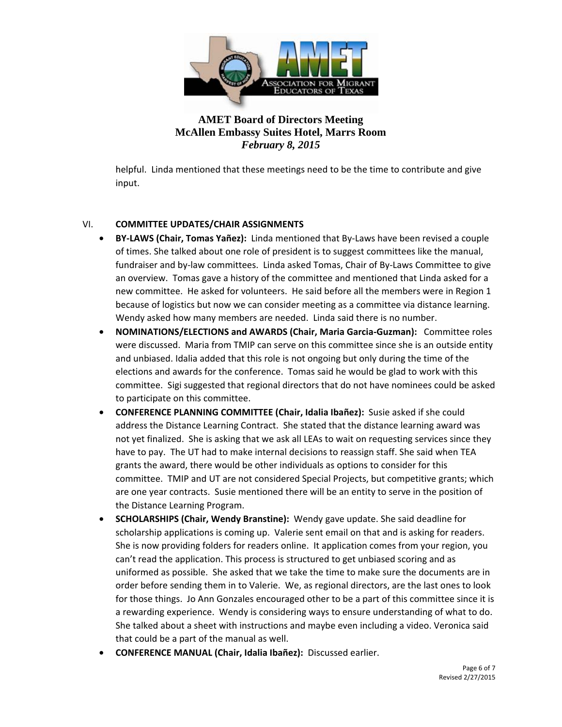

helpful. Linda mentioned that these meetings need to be the time to contribute and give input.

### VI. **COMMITTEE UPDATES/CHAIR ASSIGNMENTS**

- **BY-LAWS (Chair, Tomas Yañez):** Linda mentioned that By-Laws have been revised a couple of times. She talked about one role of president is to suggest committees like the manual, fundraiser and by-law committees. Linda asked Tomas, Chair of By-Laws Committee to give an overview. Tomas gave a history of the committee and mentioned that Linda asked for a new committee. He asked for volunteers. He said before all the members were in Region 1 because of logistics but now we can consider meeting as a committee via distance learning. Wendy asked how many members are needed. Linda said there is no number.
- **NOMINATIONS/ELECTIONS and AWARDS (Chair, Maria Garcia-Guzman):** Committee roles were discussed. Maria from TMIP can serve on this committee since she is an outside entity and unbiased. Idalia added that this role is not ongoing but only during the time of the elections and awards for the conference. Tomas said he would be glad to work with this committee. Sigi suggested that regional directors that do not have nominees could be asked to participate on this committee.
- **CONFERENCE PLANNING COMMITTEE (Chair, Idalia Ibañez):** Susie asked if she could address the Distance Learning Contract. She stated that the distance learning award was not yet finalized. She is asking that we ask all LEAs to wait on requesting services since they have to pay. The UT had to make internal decisions to reassign staff. She said when TEA grants the award, there would be other individuals as options to consider for this committee. TMIP and UT are not considered Special Projects, but competitive grants; which are one year contracts. Susie mentioned there will be an entity to serve in the position of the Distance Learning Program.
- **SCHOLARSHIPS (Chair, Wendy Branstine):** Wendy gave update. She said deadline for scholarship applications is coming up. Valerie sent email on that and is asking for readers. She is now providing folders for readers online. It application comes from your region, you can't read the application. This process is structured to get unbiased scoring and as uniformed as possible. She asked that we take the time to make sure the documents are in order before sending them in to Valerie. We, as regional directors, are the last ones to look for those things. Jo Ann Gonzales encouraged other to be a part of this committee since it is a rewarding experience. Wendy is considering ways to ensure understanding of what to do. She talked about a sheet with instructions and maybe even including a video. Veronica said that could be a part of the manual as well.
- **CONFERENCE MANUAL (Chair, Idalia Ibañez):** Discussed earlier.